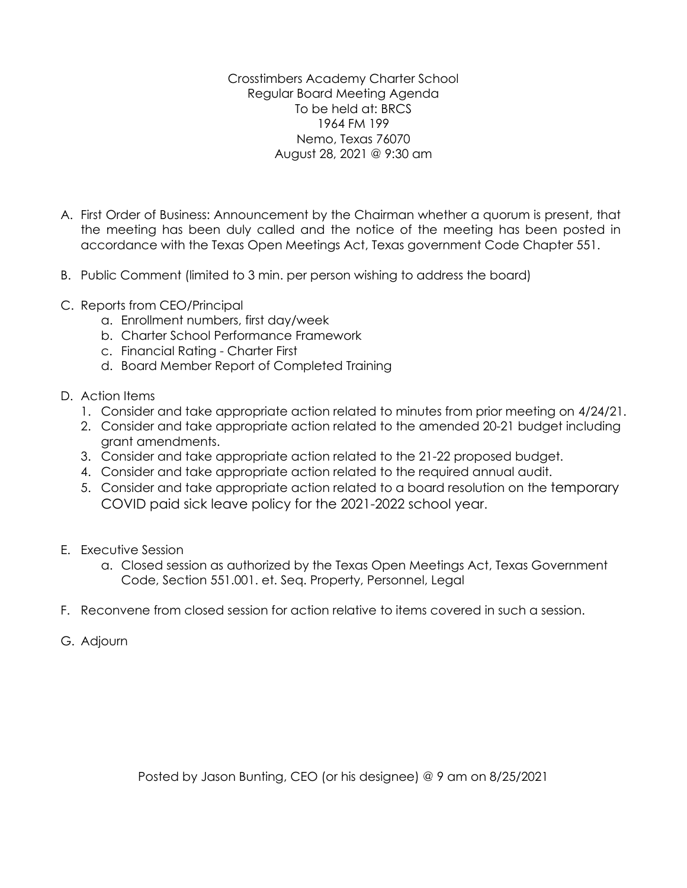Crosstimbers Academy Charter School Regular Board Meeting Agenda To be held at: BRCS 1964 FM 199 Nemo, Texas 76070 August 28, 2021 @ 9:30 am

- A. First Order of Business: Announcement by the Chairman whether a quorum is present, that the meeting has been duly called and the notice of the meeting has been posted in accordance with the Texas Open Meetings Act, Texas government Code Chapter 551.
- B. Public Comment (limited to 3 min. per person wishing to address the board)
- C. Reports from CEO/Principal
	- a. Enrollment numbers, first day/week
	- b. Charter School Performance Framework
	- c. Financial Rating Charter First
	- d. Board Member Report of Completed Training
- D. Action Items
	- 1. Consider and take appropriate action related to minutes from prior meeting on 4/24/21.
	- 2. Consider and take appropriate action related to the amended 20-21 budget including grant amendments.
	- 3. Consider and take appropriate action related to the 21-22 proposed budget.
	- 4. Consider and take appropriate action related to the required annual audit.
	- 5. Consider and take appropriate action related to a board resolution on the temporary COVID paid sick leave policy for the 2021-2022 school year.
- E. Executive Session
	- a. Closed session as authorized by the Texas Open Meetings Act, Texas Government Code, Section 551.001. et. Seq. Property, Personnel, Legal
- F. Reconvene from closed session for action relative to items covered in such a session.
- G. Adjourn

Posted by Jason Bunting, CEO (or his designee) @ 9 am on 8/25/2021